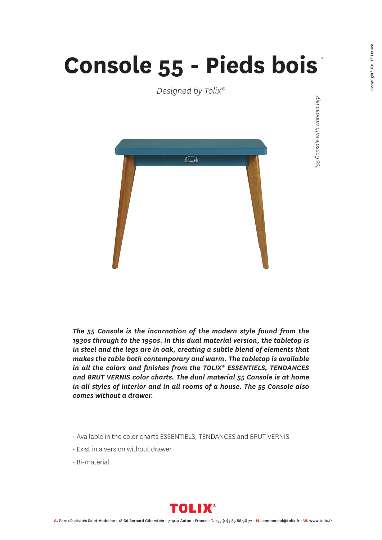## **Console 55 - Pieds bois**

*Designed by Tolix®*



*\*55 Console with wooden legs \**55 Console with wooden legs

*The 55 Console is the incarnation of the modern style found from the 1930s through to the 1950s. In this dual material version, the tabletop is in steel and the legs are in oak, creating a subtle blend of elements that makes the table both contemporary and warm. The tabletop is available in all the colors and finishes from the TOLIX® ESSENTIELS, TENDANCES and BRUT VERNIS color charts. The dual material 55 Console is at home in all styles of interior and in all rooms of a house. The 55 Console also comes without a drawer.*

- Available in the color charts ESSENTIELS, TENDANCES and BRUT VERNIS
- Exist in a version without drawer
- Bi-material